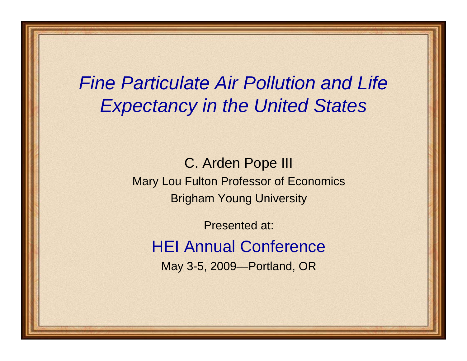# *Fine Particulate Air Pollution and Life Expectancy in the United States*

C. Arden Pope III Mary Lou Fulton Professor of Economics Brigham Young University

Presented at: HEI Annual ConferenceMay 3-5, 2009—Portland, OR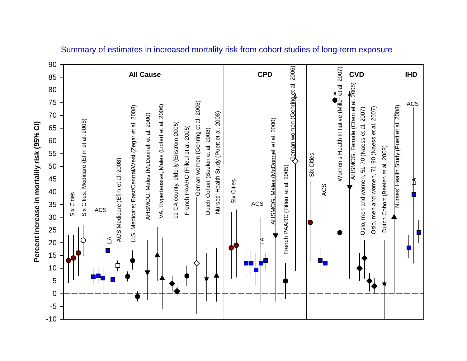

#### Summary of estimates in increased mortality risk from cohort studies of long-term exposure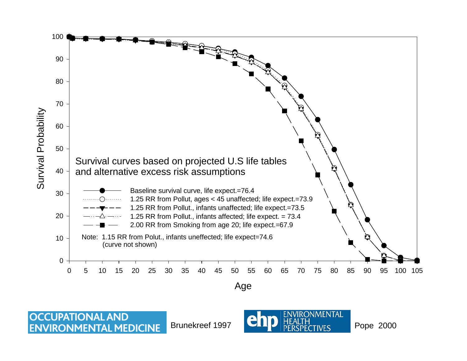

**OCCUPATIONAL AND** Brunekreef 1997**ENVIRONMENTAL MEDICINE** 

**IRONMENTAL** 

Pope 2000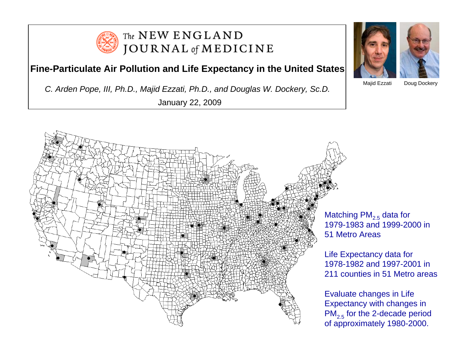

#### The NEW ENGLAND **JOURNAL** of **MEDICINE**

#### **Fine-Particulate Air Pollution and Life Expectancy in the United States**

*C. Arden Pope, III, Ph.D., Majid Ezzati, Ph.D., and Douglas W. Dockery, Sc.D.* 

January 22, 2009





Majid Ezzati

Doug Dockery

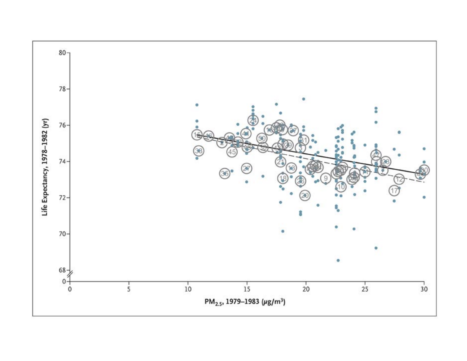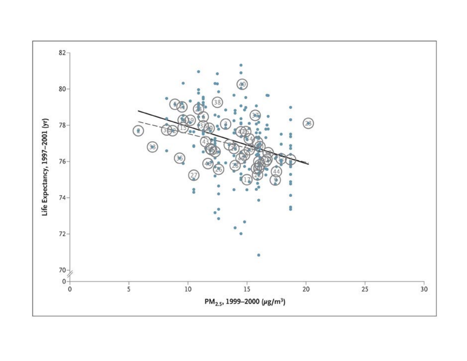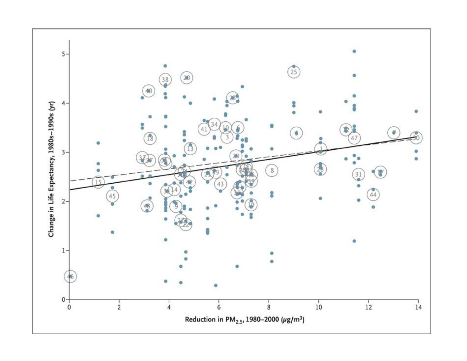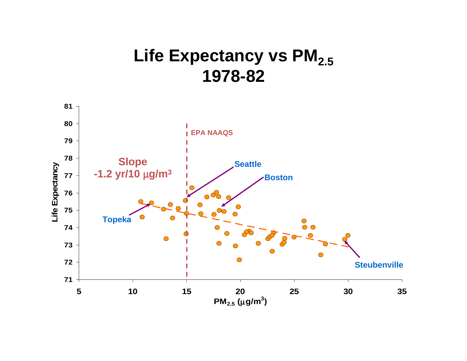## Life Expectancy vs PM<sub>2.5</sub> **1978-82**

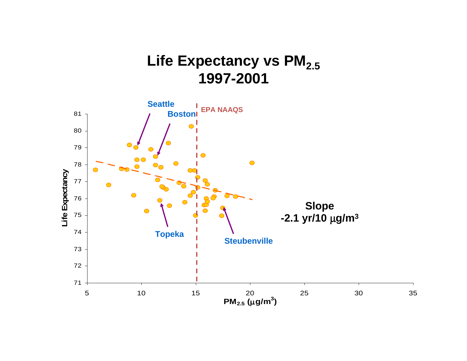## Life Expectancy vs PM<sub>2.5</sub> **1997-2001**

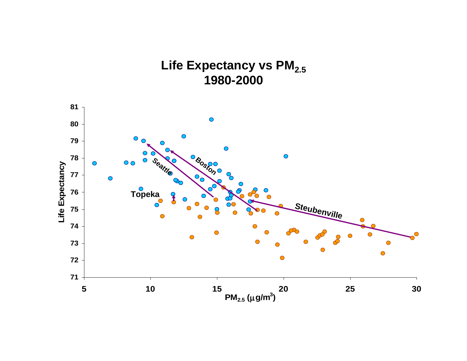## Life Expectancy vs PM<sub>2.5</sub> **1980-2000**

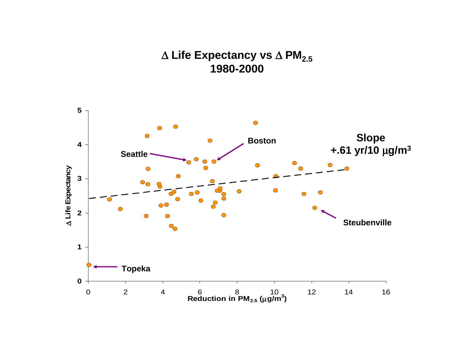### Δ **Life Expectancy vs** Δ **PM2.5 1980-2000**

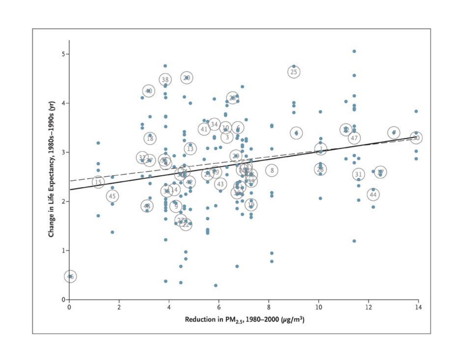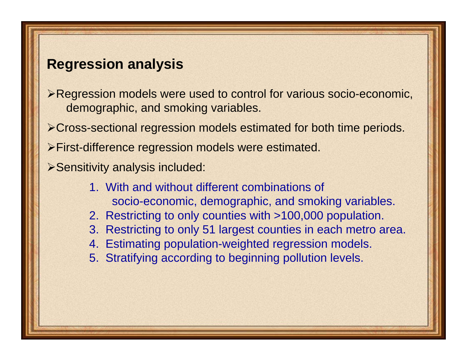## **Regression analysis**

- ¾Regression models were used to control for various socio-economic, demographic, and smoking variables.
- ¾Cross-sectional regression models estimated for both time periods.
- ¾First-difference regression models were estimated.
- ¾Sensitivity analysis included:
	- 1. With and without different combinations of socio-economic, demographic, and smoking variables.
	- 2. Restricting to only counties with >100,000 population.
	- 3. Restricting to only 51 largest counties in each metro area.
	- 4. Estimating population-weighted regression models.
	- 5. Stratifying according to beginning pollution levels.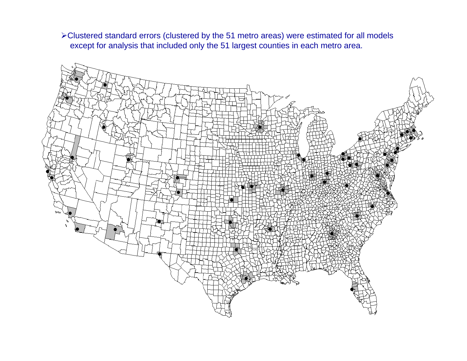¾Clustered standard errors (clustered by the 51 metro areas) were estimated for all models except for analysis that included only the 51 largest counties in each metro area.

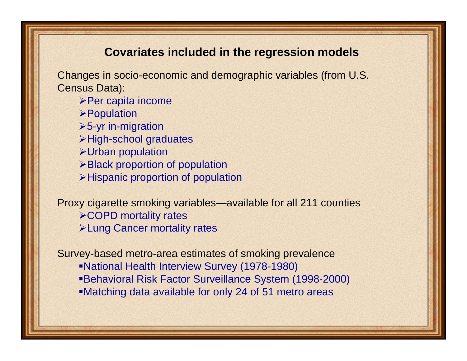#### **Covariates included in the regression models**

Changes in socio-economic and demographic variables (from U.S. Census Data):

- ¾Per capita income
- ¾Population
- $>5-yr$  in-migration
- ¾High-school graduates
- ¾Urban population
- ¾Black proportion of population
- ¾Hispanic proportion of population

Proxy cigarette smoking variables—available for all 211 counties ¾COPD mortality rates ¾Lung Cancer mortality rates

Survey-based metro-area estimates of smoking prevalence

- National Health Interview Survey (1978-1980)
- Behavioral Risk Factor Surveillance System (1998-2000)
- Matching data available for only 24 of 51 metro areas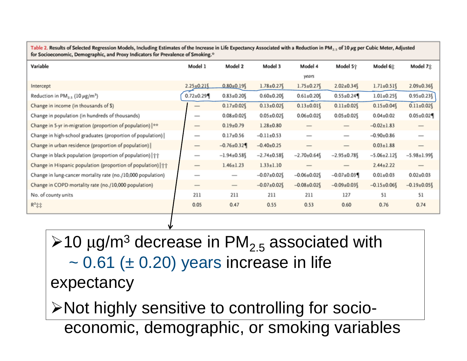| for Socioeconomic, Demographic, and Proxy Indicators for Prevalence of Smoking. <sup>®</sup> |                          |                                           |                  |                          |                          |                  |                                 |
|----------------------------------------------------------------------------------------------|--------------------------|-------------------------------------------|------------------|--------------------------|--------------------------|------------------|---------------------------------|
| Variable                                                                                     | Model 1                  | Model 2                                   | Model 3          | Model 4                  | Model 5†                 | Model 6%         | Model 7%                        |
|                                                                                              |                          |                                           |                  | years                    |                          |                  |                                 |
| Intercept                                                                                    | $2.25 \pm 0.21$          | $0.80+0.19$                               | $1.78 \pm 0.27$  | $1.75 \pm 0.27$          | $2.02 \pm 0.34$          | $1.71 \pm 0.51$  | $2.09 \pm 0.36$                 |
| Reduction in PM <sub>2.5</sub> (10 $\mu$ g/m <sup>3</sup> )                                  | $0.72 \pm 0.29$          | $0.83 \pm 0.20$                           | $0.60 \pm 0.20$  | $0.61 \pm 0.20$          | $0.55 \pm 0.24$          | $1.01 \pm 0.25$  | $0.95 \pm 0.23$                 |
| Change in income (in thousands of \$)                                                        | $\qquad \qquad$          | $0.17 \pm 0.02$                           | $0.13 \pm 0.02$  | $0.13 \pm 0.01$          | $0.11 \pm 0.02$          | $0.15 \pm 0.04$  | $0.11 \pm 0.02$                 |
| Change in population (in hundreds of thousands)                                              | $\overline{\phantom{a}}$ | $0.08 \pm 0.02$                           | $0.05 \pm 0.02$  | $0.06 \pm 0.02$          | $0.05 \pm 0.02$ §        | $0.04 \pm 0.02$  | $0.05 \pm 0.02$                 |
| Change in 5-yr in-migration (proportion of population)  **                                   | $\hspace{0.5cm}$         | $0.19{\pm}0.79$                           | $1.28 \pm 0.80$  |                          | $\qquad \qquad$          | $-0.02 \pm 1.83$ | $\hspace{0.1mm}-\hspace{0.1mm}$ |
| Change in high-school graduates (proportion of population)                                   | $\overline{\phantom{a}}$ | $0.17 \pm 0.56$                           | $-0.11 \pm 0.53$ | $\overline{\phantom{a}}$ | $\overline{\phantom{a}}$ | $-0.90+0.86$     | $\overline{\phantom{a}}$        |
| Change in urban residence (proportion of population)                                         |                          | $-0.76 \pm 0.32$                          | $-0.40+0.25$     |                          |                          | $0.03 \pm 1.88$  |                                 |
| Change in black population (proportion of population)   ^^                                   | $\qquad \qquad$          | $-1.94 \pm 0.58$                          | $-2.74 \pm 0.58$ | $-2.70 \pm 0.64$         | $-2.95 \pm 0.78$         | $-5.06 \pm 2.12$ | $-5.98 \pm 1.99$                |
| Change in Hispanic population (proportion of population)                                     |                          | $1.46 \pm 1.23$                           | $1.33 \pm 1.10$  | $\overline{\phantom{a}}$ | $\overline{\phantom{a}}$ | $2.44 \pm 2.22$  | $\qquad \qquad$                 |
| Change in lung-cancer mortality rate (no./10,000 population)                                 |                          |                                           | $-0.07 \pm 0.02$ | $-0.06 \pm 0.02$         | $-0.07 \pm 0.03$         | $0.01 + 0.03$    | $0.02{\pm}0.03$                 |
| Change in COPD mortality rate (no./10,000 population)                                        | $\qquad \qquad =\qquad$  | $\qquad \qquad \overline{\qquad \qquad }$ | $-0.07+0.02$     | $-0.08 \pm 0.02$         | $-0.09 \pm 0.03$         | $-0.15 \pm 0.06$ | $-0.19 \pm 0.05$                |
| No. of county units                                                                          | 211                      | 211                                       | 211              | 211                      | 127                      | 51               | 51                              |
| $R^2$ $+$                                                                                    | 0.05                     | 0.47                                      | 0.55             | 0.53                     | 0.60                     | 0.76             | 0.74                            |
|                                                                                              |                          |                                           |                  |                          |                          |                  |                                 |

Table 2. Results of Selected Regression Models, Including Estimates of the Increase in Life Expectancy Associated with a Reduction in PM. . of 10 ug per Cubic Meter, Adjusted

 $\ge$ 10  $\mu$ g/m $^3$  decrease in PM<sub>2.5</sub> associated with  $\sim$  0.61 ( $\pm$  0.20) years increase in life expectancy ¾Not highly sensitive to controlling for socio-

economic, demographic, or smoking variables